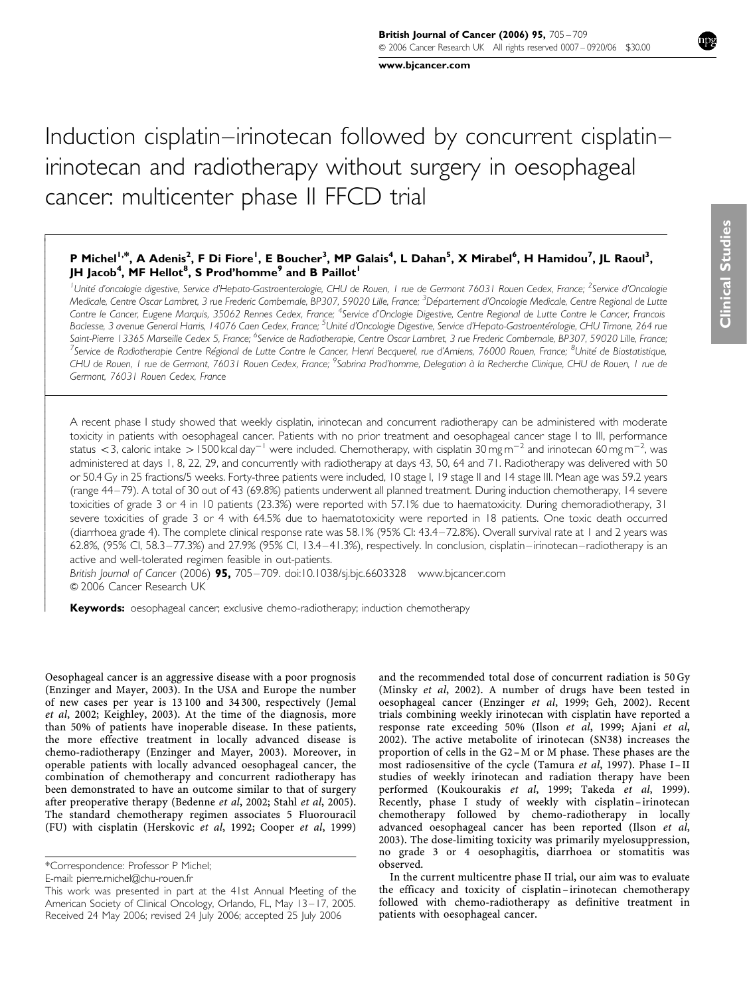www.bjcancer.com

# Induction cisplatin–irinotecan followed by concurrent cisplatin– irinotecan and radiotherapy without surgery in oesophageal cancer: multicenter phase II FFCD trial

# P Michel<sup>1,\*</sup>, A Adenis<sup>2</sup>, F Di Fiore<sup>1</sup>, E Boucher<sup>3</sup>, MP Galais<sup>4</sup>, L Dahan<sup>5</sup>, X Mirabel<sup>6</sup>, H Hamidou<sup>7</sup>, JL Raoul<sup>3</sup>, JH Jacob<sup>4</sup>, MF Hellot $^8$ , S Prod'homme $^9$  and B Paillot $^{\mathsf{I}}$

<sup>1</sup>Unité d'oncologie digestive, Service d'Hepato-Gastroenterologie, CHU de Rouen, 1 rue de Germont 76031 Rouen Cedex, France; <sup>2</sup>Service d'Oncologie Medicale, Centre Oscar Lambret, 3 rue Frederic Combemale, BP307, 59020 Lille, France; <sup>3</sup>Département d'Oncologie Medicale, Centre Regional de Lutte Contre le Cancer, Eugene Marquis, 35062 Rennes Cedex, France; <sup>4</sup>Service d'Onclogie Digestive, Centre Regional de Lutte Contre le Cancer, Francois Baclesse, 3 avenue General Harris, 14076 Caen Cedex, France; <sup>5</sup>Unité d'Oncologie Digestive, Service d'Hepato-Gastroentérologie, CHU Timone, 264 rue Saint-Pierre 13365 Marseille Cedex 5, France; <sup>6</sup>Service de Radiotherapie, Centre Oscar Lambret, 3 rue Frederic Combemale, BP307, 59020 Lille, France;<br><sup>7</sup>Service de Radiotherapie, Centre Bégional de Lutte Centre le Cancer, Service de Radiotherapie Centre Régional de Lutte Contre le Cancer, Henri Becquerel, rue d'Amiens, 76000 Rouen, France; <sup>8</sup>Unité de Biostatistique, CHU de Rouen, I rue de Germont, 76031 Rouen Cedex, France; <sup>9</sup>Sabrina Prod'homme, Delegation à la Recherche Clinique, CHU de Rouen, I rue de Germont, 76031 Rouen Cedex, France

A recent phase I study showed that weekly cisplatin, irinotecan and concurrent radiotherapy can be administered with moderate toxicity in patients with oesophageal cancer. Patients with no prior treatment and oesophageal cancer stage I to III, performance status  $<$  3, caloric intake  $>$  1500 kcal day $^{-1}$  were included. Chemotherapy, with cisplatin 30 mg m $^{-2}$  and irinotecan 60 mg m $^{-2}$ , was administered at days 1, 8, 22, 29, and concurrently with radiotherapy at days 43, 50, 64 and 71. Radiotherapy was delivered with 50 or 50.4 Gy in 25 fractions/5 weeks. Forty-three patients were included, 10 stage I, 19 stage II and 14 stage III. Mean age was 59.2 years (range 44–79). A total of 30 out of 43 (69.8%) patients underwent all planned treatment. During induction chemotherapy, 14 severe toxicities of grade 3 or 4 in 10 patients (23.3%) were reported with 57.1% due to haematoxicity. During chemoradiotherapy, 31 severe toxicities of grade 3 or 4 with 64.5% due to haematotoxicity were reported in 18 patients. One toxic death occurred (diarrhoea grade 4). The complete clinical response rate was 58.1% (95% CI: 43.4–72.8%). Overall survival rate at 1 and 2 years was 62.8%, (95% CI, 58.3–77.3%) and 27.9% (95% CI, 13.4–41.3%), respectively. In conclusion, cisplatin–irinotecan–radiotherapy is an active and well-tolerated regimen feasible in out-patients.

British Journal of Cancer (2006)  $95$ , 705-709. doi:10.1038/sj.bjc.6603328 www.bjcancer.com & 2006 Cancer Research UK

Keywords: oesophageal cancer; exclusive chemo-radiotherapy; induction chemotherapy

Oesophageal cancer is an aggressive disease with a poor prognosis (Enzinger and Mayer, 2003). In the USA and Europe the number of new cases per year is 13 100 and 34 300, respectively (Jemal et al, 2002; Keighley, 2003). At the time of the diagnosis, more than 50% of patients have inoperable disease. In these patients, the more effective treatment in locally advanced disease is chemo-radiotherapy (Enzinger and Mayer, 2003). Moreover, in operable patients with locally advanced oesophageal cancer, the combination of chemotherapy and concurrent radiotherapy has been demonstrated to have an outcome similar to that of surgery after preoperative therapy (Bedenne et al, 2002; Stahl et al, 2005). The standard chemotherapy regimen associates 5 Fluorouracil (FU) with cisplatin (Herskovic et al, 1992; Cooper et al, 1999)

ŗ  $\overline{1}$  $\overline{1}$  $\overline{\phantom{a}}$  $\overline{\phantom{a}}$  $\overline{\phantom{a}}$  $\bigg\}$  $\bigg\}$  $\overline{\phantom{a}}$  $\overline{\phantom{a}}$  $\overline{\phantom{a}}$  $\bigg\}$  $\bigg\}$  $\overline{\phantom{a}}$  $\overline{\phantom{a}}$  $\overline{\phantom{a}}$  $\overline{\phantom{a}}$  $\bigg\}$  $\bigg\}$  $\overline{\phantom{a}}$  $\overline{\phantom{a}}$  $\overline{\phantom{a}}$  $\overline{\phantom{a}}$  $\bigg\}$ l ľ  $\overline{\phantom{a}}$  $\overline{\phantom{a}}$  $\bigg\}$  $\bigg\}$  $\overline{\phantom{a}}$  $\overline{\phantom{a}}$  $\overline{\phantom{a}}$  $\bigg\}$  $\bigg\}$  $\bigg\}$  $\overline{\phantom{a}}$  $\overline{\phantom{a}}$  $\overline{\phantom{a}}$  $\bigg\}$  $\bigg\}$  $\bigg\}$  $\overline{\phantom{a}}$  $\overline{\phantom{a}}$  $\overline{\phantom{a}}$  $\bigg\}$  $\bigg\}$  $\overline{\phantom{a}}$  $\overline{\phantom{a}}$  $\overline{\phantom{a}}$  $\bigg\}$  $\bigg\}$  $\overline{\phantom{a}}$  $\overline{\phantom{a}}$  $\overline{\phantom{a}}$  $\bigg\}$  $\bigg\}$ 

and the recommended total dose of concurrent radiation is 50 Gy (Minsky et al, 2002). A number of drugs have been tested in oesophageal cancer (Enzinger et al, 1999; Geh, 2002). Recent trials combining weekly irinotecan with cisplatin have reported a response rate exceeding 50% (Ilson et al, 1999; Ajani et al, 2002). The active metabolite of irinotecan (SN38) increases the proportion of cells in the G2–M or M phase. These phases are the most radiosensitive of the cycle (Tamura et al, 1997). Phase I– II studies of weekly irinotecan and radiation therapy have been performed (Koukourakis et al, 1999; Takeda et al, 1999). Recently, phase I study of weekly with cisplatin –irinotecan chemotherapy followed by chemo-radiotherapy in locally advanced oesophageal cancer has been reported (Ilson et al, 2003). The dose-limiting toxicity was primarily myelosuppression, no grade 3 or 4 oesophagitis, diarrhoea or stomatitis was observed.

In the current multicentre phase II trial, our aim was to evaluate the efficacy and toxicity of cisplatin-irinotecan chemotherapy followed with chemo-radiotherapy as definitive treatment in patients with oesophageal cancer.

<sup>\*</sup>Correspondence: Professor P Michel;

E-mail: pierre.michel@chu-rouen.fr

Received 24 May 2006; revised 24 July 2006; accepted 25 July 2006 This work was presented in part at the 41st Annual Meeting of the American Society of Clinical Oncology, Orlando, FL, May 13–17, 2005.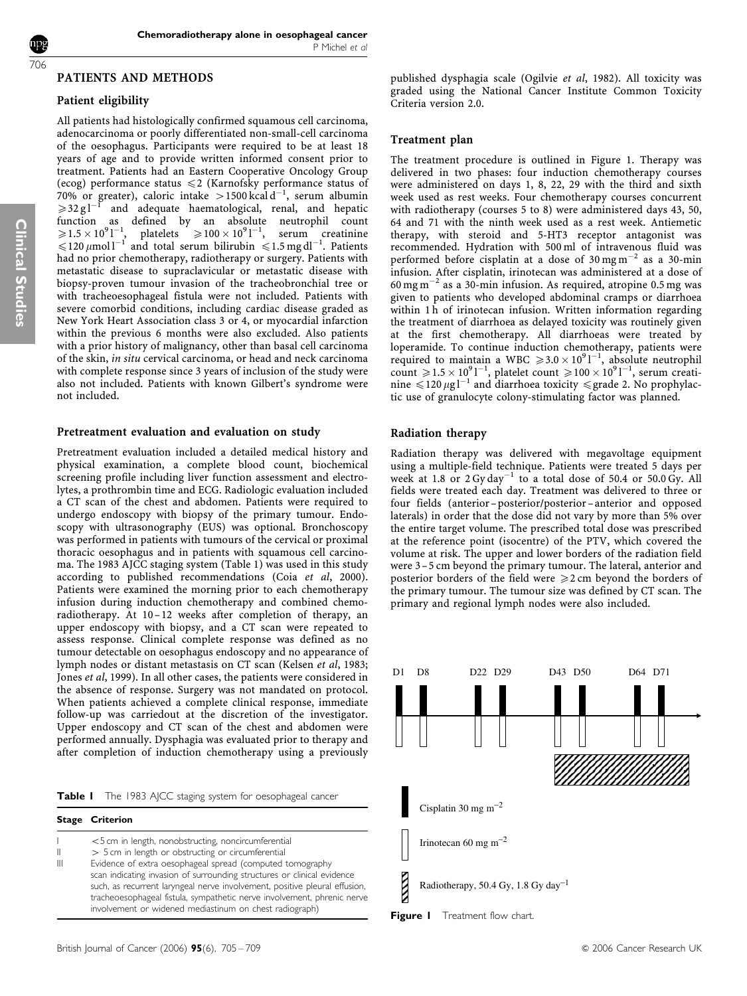Clinical Studies

#### PATIENTS AND METHODS

# Patient eligibility

All patients had histologically confirmed squamous cell carcinoma, adenocarcinoma or poorly differentiated non-small-cell carcinoma of the oesophagus. Participants were required to be at least 18 years of age and to provide written informed consent prior to treatment. Patients had an Eastern Cooperative Oncology Group (ecog) performance status  $\leq$  (Karnofsky performance status of 70% or greater), caloric intake > 1500 kcal d<sup>-1</sup>, serum albumin  $\geq 32 \text{ g l}^{-1}$  and adequate haematological, renal, and hepatic function as defined by an absolute neutrophil count  $\geqslant\!1.5\times10^{9}$ l $^{-1}$ , platelets  $\geq 100 \times 10^{9}$ l<sup>-1</sup>, serum creatinine  $\leq 120 \mu$ mol l<sup>-1</sup> and total serum bilirubin  $\leq 1.5$  mg dl<sup>-1</sup>. Patients had no prior chemotherapy, radiotherapy or surgery. Patients with metastatic disease to supraclavicular or metastatic disease with biopsy-proven tumour invasion of the tracheobronchial tree or with tracheoesophageal fistula were not included. Patients with severe comorbid conditions, including cardiac disease graded as New York Heart Association class 3 or 4, or myocardial infarction within the previous 6 months were also excluded. Also patients with a prior history of malignancy, other than basal cell carcinoma of the skin, in situ cervical carcinoma, or head and neck carcinoma with complete response since 3 years of inclusion of the study were also not included. Patients with known Gilbert's syndrome were not included.

#### Pretreatment evaluation and evaluation on study

Pretreatment evaluation included a detailed medical history and physical examination, a complete blood count, biochemical screening profile including liver function assessment and electrolytes, a prothrombin time and ECG. Radiologic evaluation included a CT scan of the chest and abdomen. Patients were required to undergo endoscopy with biopsy of the primary tumour. Endoscopy with ultrasonography (EUS) was optional. Bronchoscopy was performed in patients with tumours of the cervical or proximal thoracic oesophagus and in patients with squamous cell carcinoma. The 1983 AJCC staging system (Table 1) was used in this study according to published recommendations (Coia et al, 2000). Patients were examined the morning prior to each chemotherapy infusion during induction chemotherapy and combined chemoradiotherapy. At 10 –12 weeks after completion of therapy, an upper endoscopy with biopsy, and a CT scan were repeated to assess response. Clinical complete response was defined as no tumour detectable on oesophagus endoscopy and no appearance of lymph nodes or distant metastasis on CT scan (Kelsen et al, 1983; Jones et al, 1999). In all other cases, the patients were considered in the absence of response. Surgery was not mandated on protocol. When patients achieved a complete clinical response, immediate follow-up was carriedout at the discretion of the investigator. Upper endoscopy and CT scan of the chest and abdomen were performed annually. Dysphagia was evaluated prior to therapy and after completion of induction chemotherapy using a previously

| Table I The 1983 AJCC staging system for oesophageal cancer |  |
|-------------------------------------------------------------|--|
|-------------------------------------------------------------|--|

|                   | <b>Stage Criterion</b>                                                                                                                                                                                                                                                                                                                                                                                                                                                |
|-------------------|-----------------------------------------------------------------------------------------------------------------------------------------------------------------------------------------------------------------------------------------------------------------------------------------------------------------------------------------------------------------------------------------------------------------------------------------------------------------------|
| $\mathbb{I}$<br>Ш | <5 cm in length, nonobstructing, noncircumferential<br>> 5 cm in length or obstructing or circumferential<br>Evidence of extra oesophageal spread (computed tomography<br>scan indicating invasion of surrounding structures or clinical evidence<br>such, as recurrent laryngeal nerve involvement, positive pleural effusion,<br>tracheoesophageal fistula, sympathetic nerve involvement, phrenic nerve<br>involvement or widened mediastinum on chest radiograph) |
|                   |                                                                                                                                                                                                                                                                                                                                                                                                                                                                       |

# Treatment plan

The treatment procedure is outlined in Figure 1. Therapy was delivered in two phases: four induction chemotherapy courses were administered on days 1, 8, 22, 29 with the third and sixth week used as rest weeks. Four chemotherapy courses concurrent with radiotherapy (courses 5 to 8) were administered days 43, 50, 64 and 71 with the ninth week used as a rest week. Antiemetic therapy, with steroid and 5-HT3 receptor antagonist was recommended. Hydration with 500 ml of intravenous fluid was performed before cisplatin at a dose of  $30 \text{ mg m}^{-2}$  as a  $30 \text{ -min}$ infusion. After cisplatin, irinotecan was administered at a dose of 60 mg  $\mathrm{m}^{-2}$  as a 30-min infusion. As required, atropine 0.5 mg was given to patients who developed abdominal cramps or diarrhoea within 1 h of irinotecan infusion. Written information regarding the treatment of diarrhoea as delayed toxicity was routinely given at the first chemotherapy. All diarrhoeas were treated by loperamide. To continue induction chemotherapy, patients were required to maintain a WBC  $\ge 3.0 \times 10^{9}$ <sup>1-1</sup>, absolute neutrophil count  $\ge 1.5 \times 10^{9}$ <sup>1-1</sup>, platelet count  $\ge 100 \times 10^{9}$ <sup>1-1</sup>, serum creatinine  $\leq 120 \mu$ g l<sup>-1</sup> and diarrhoea toxicity  $\leq$  grade 2. No prophylactic use of granulocyte colony-stimulating factor was planned.

#### Radiation therapy

Radiation therapy was delivered with megavoltage equipment using a multiple-field technique. Patients were treated 5 days per week at 1.8 or  $2 \text{ Gy day}^{-1}$  to a total dose of 50.4 or 50.0 Gy. All fields were treated each day. Treatment was delivered to three or four fields (anterior–posterior/posterior –anterior and opposed laterals) in order that the dose did not vary by more than 5% over the entire target volume. The prescribed total dose was prescribed at the reference point (isocentre) of the PTV, which covered the volume at risk. The upper and lower borders of the radiation field were 3–5 cm beyond the primary tumour. The lateral, anterior and posterior borders of the field were  $\geq 2$  cm beyond the borders of the primary tumour. The tumour size was defined by CT scan. The primary and regional lymph nodes were also included.

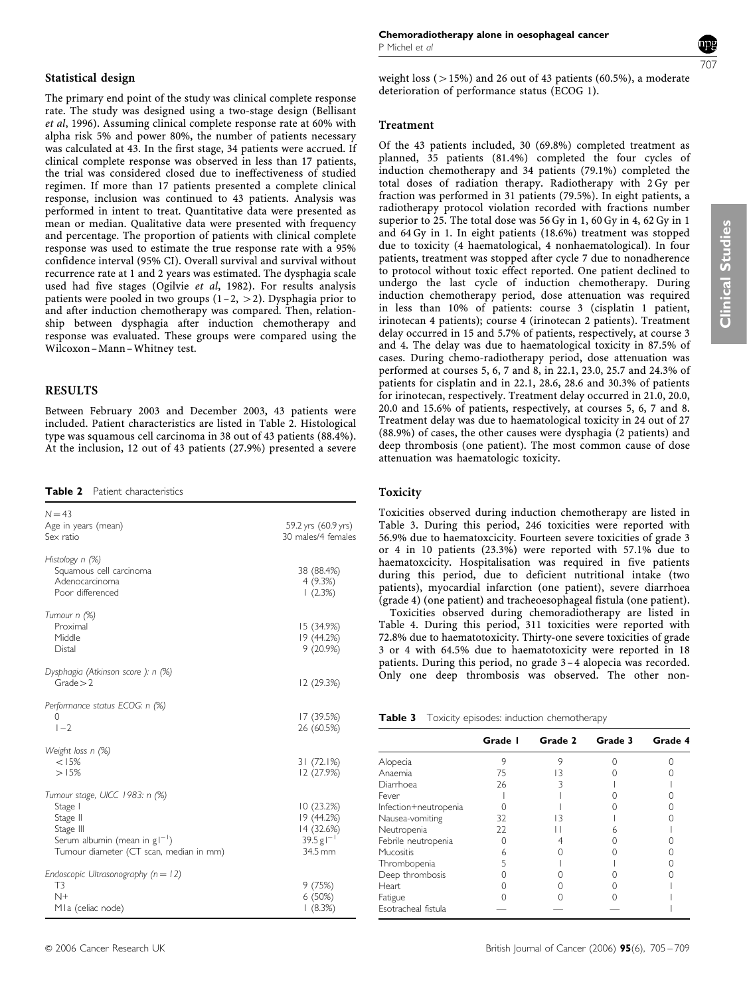#### Statistical design

The primary end point of the study was clinical complete response rate. The study was designed using a two-stage design (Bellisant et al, 1996). Assuming clinical complete response rate at 60% with alpha risk 5% and power 80%, the number of patients necessary was calculated at 43. In the first stage, 34 patients were accrued. If clinical complete response was observed in less than 17 patients, the trial was considered closed due to ineffectiveness of studied regimen. If more than 17 patients presented a complete clinical response, inclusion was continued to 43 patients. Analysis was performed in intent to treat. Quantitative data were presented as mean or median. Qualitative data were presented with frequency and percentage. The proportion of patients with clinical complete response was used to estimate the true response rate with a 95% confidence interval (95% CI). Overall survival and survival without recurrence rate at 1 and 2 years was estimated. The dysphagia scale used had five stages (Ogilvie et al, 1982). For results analysis patients were pooled in two groups  $(1-2, >2)$ . Dysphagia prior to and after induction chemotherapy was compared. Then, relationship between dysphagia after induction chemotherapy and response was evaluated. These groups were compared using the Wilcoxon– Mann– Whitney test.

# RESULTS

Between February 2003 and December 2003, 43 patients were included. Patient characteristics are listed in Table 2. Histological type was squamous cell carcinoma in 38 out of 43 patients (88.4%). At the inclusion, 12 out of 43 patients (27.9%) presented a severe

Table 2 Patient characteristics

| $N = 43$<br>Age in years (mean)<br>Sex ratio                                                                                                       | 59.2 yrs (60.9 yrs)<br>30 males/4 females                                  |
|----------------------------------------------------------------------------------------------------------------------------------------------------|----------------------------------------------------------------------------|
| Histology n (%)<br>Squamous cell carcinoma<br>Adenocarcinoma<br>Poor differenced                                                                   | 38 (88.4%)<br>4(9.3%)<br>(2.3%)                                            |
| Tumour n (%)<br>Proximal<br>Middle<br>Distal                                                                                                       | 15 (34.9%)<br>19 (44.2%)<br>9(20.9%)                                       |
| Dysphagia (Atkinson score ): n (%)<br>Grade > 2                                                                                                    | 12 (29.3%)                                                                 |
| Performance status ECOG: n (%)<br>0<br>$1 - 2$                                                                                                     | 17 (39.5%)<br>26 (60.5%)                                                   |
| Weight loss n (%)<br>< 15%<br>>15%                                                                                                                 | 31(72.1%)<br>12 (27.9%)                                                    |
| Tumour stage, UICC 1983: n (%)<br>Stage  <br>Stage II<br>Stage III<br>Serum albumin (mean in $g^{-1}$ )<br>Tumour diameter (CT scan, median in mm) | 10(23.2%)<br>19 (44.2%)<br>14 (32.6%)<br>$39.5 g$ <sup>-1</sup><br>34.5 mm |
| Endoscopic Ultrasonography ( $n = 12$ )<br>T <sub>3</sub><br>$N+$<br>MIa (celiac node)                                                             | 9(75%)<br>6(50%)<br>(8.3%)                                                 |



weight loss ( $>15\%$ ) and 26 out of 43 patients (60.5%), a moderate deterioration of performance status (ECOG 1).

#### Treatment

Of the 43 patients included, 30 (69.8%) completed treatment as planned, 35 patients (81.4%) completed the four cycles of induction chemotherapy and 34 patients (79.1%) completed the total doses of radiation therapy. Radiotherapy with 2 Gy per fraction was performed in 31 patients (79.5%). In eight patients, a radiotherapy protocol violation recorded with fractions number superior to 25. The total dose was 56 Gy in 1, 60 Gy in 4, 62 Gy in 1 and 64 Gy in 1. In eight patients (18.6%) treatment was stopped due to toxicity (4 haematological, 4 nonhaematological). In four patients, treatment was stopped after cycle 7 due to nonadherence to protocol without toxic effect reported. One patient declined to undergo the last cycle of induction chemotherapy. During induction chemotherapy period, dose attenuation was required in less than 10% of patients: course 3 (cisplatin 1 patient, irinotecan 4 patients); course 4 (irinotecan 2 patients). Treatment delay occurred in 15 and 5.7% of patients, respectively, at course 3 and 4. The delay was due to haematological toxicity in 87.5% of cases. During chemo-radiotherapy period, dose attenuation was performed at courses 5, 6, 7 and 8, in 22.1, 23.0, 25.7 and 24.3% of patients for cisplatin and in 22.1, 28.6, 28.6 and 30.3% of patients for irinotecan, respectively. Treatment delay occurred in 21.0, 20.0, 20.0 and 15.6% of patients, respectively, at courses 5, 6, 7 and 8. Treatment delay was due to haematological toxicity in 24 out of 27 (88.9%) of cases, the other causes were dysphagia (2 patients) and deep thrombosis (one patient). The most common cause of dose attenuation was haematologic toxicity.

#### Toxicity

Toxicities observed during induction chemotherapy are listed in Table 3. During this period, 246 toxicities were reported with 56.9% due to haematoxcicity. Fourteen severe toxicities of grade 3 or 4 in 10 patients (23.3%) were reported with 57.1% due to haematoxcicity. Hospitalisation was required in five patients during this period, due to deficient nutritional intake (two patients), myocardial infarction (one patient), severe diarrhoea (grade 4) (one patient) and tracheoesophageal fistula (one patient).

Toxicities observed during chemoradiotherapy are listed in Table 4. During this period, 311 toxicities were reported with 72.8% due to haematotoxicity. Thirty-one severe toxicities of grade 3 or 4 with 64.5% due to haematotoxicity were reported in 18 patients. During this period, no grade 3– 4 alopecia was recorded. Only one deep thrombosis was observed. The other non-

| Table 3<br>Toxicity episodes: induction chemotherapy |  |  |  |
|------------------------------------------------------|--|--|--|
|------------------------------------------------------|--|--|--|

|                       | Grade I | Grade 2 | Grade 3 | Grade 4 |
|-----------------------|---------|---------|---------|---------|
| Alopecia              | 9       |         |         |         |
| Anaemia               | 75      |         |         |         |
| Diarrhoea             | 26      |         |         |         |
| Fever                 |         |         |         |         |
| Infection+neutropenia |         |         |         |         |
| Nausea-vomiting       | 32.     |         |         |         |
| Neutropenia           | 22      |         |         |         |
| Febrile neutropenia   |         |         |         |         |
| Mucositis             |         |         |         |         |
| Thrombopenia          |         |         |         |         |
| Deep thrombosis       |         |         |         |         |
| Heart                 |         |         |         |         |
| Fatigue               |         |         |         |         |
| Esotracheal fistula   |         |         |         |         |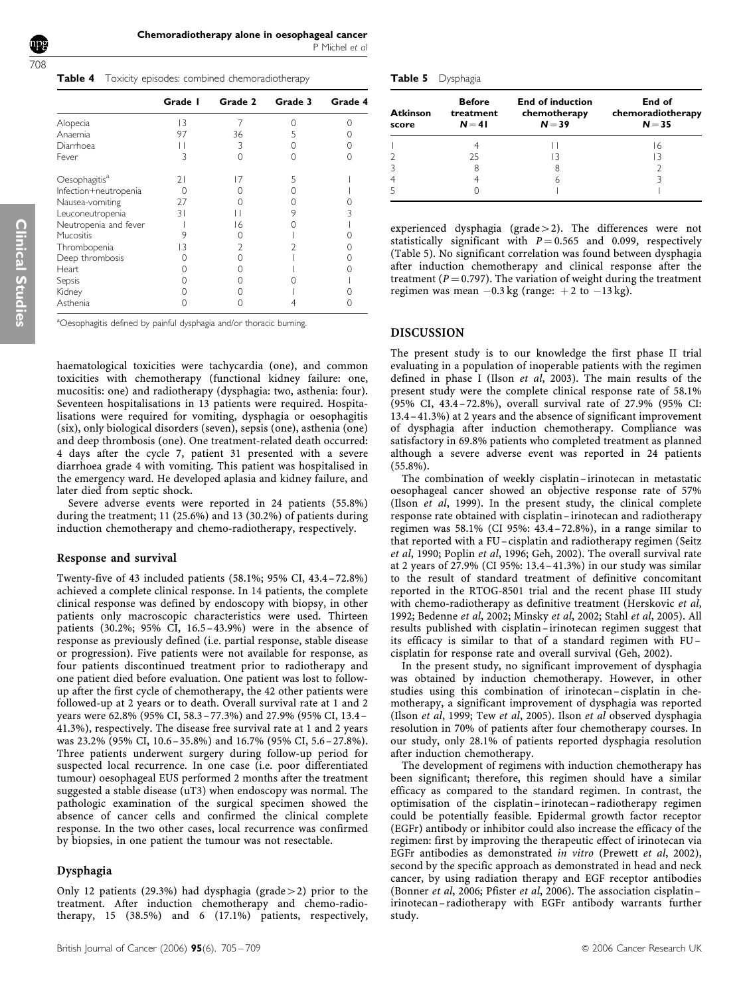Table 4 Toxicity episodes: combined chemoradiotherapy

|                           | Grade I | Grade 2 | Grade 3 | Grade 4 |
|---------------------------|---------|---------|---------|---------|
| Alopecia                  | 13      |         |         |         |
| Anaemia                   | 97      | 36      |         |         |
| Diarrhoea                 |         | 3       |         |         |
| Fever                     | 3       | ∩       |         |         |
| Oesophagitis <sup>a</sup> | 21      | 17      |         |         |
| Infection+neutropenia     |         |         |         |         |
| Nausea-vomiting           | 27      |         |         |         |
| Leuconeutropenia          | 31      |         | 9       |         |
| Neutropenia and fever     |         | 16      |         |         |
| Mucositis                 |         |         |         |         |
| Thrombopenia              | 13      |         |         |         |
| Deep thrombosis           |         |         |         |         |
| Heart                     |         |         |         |         |
| Sepsis                    |         |         |         |         |
| Kidney                    |         |         |         |         |
| Asthenia                  |         |         |         |         |
|                           |         |         |         |         |

<sup>a</sup>Oesophagitis defined by painful dysphagia and/or thoracic burning.

haematological toxicities were tachycardia (one), and common toxicities with chemotherapy (functional kidney failure: one, mucositis: one) and radiotherapy (dysphagia: two, asthenia: four). Seventeen hospitalisations in 13 patients were required. Hospitalisations were required for vomiting, dysphagia or oesophagitis (six), only biological disorders (seven), sepsis (one), asthenia (one) and deep thrombosis (one). One treatment-related death occurred: 4 days after the cycle 7, patient 31 presented with a severe diarrhoea grade 4 with vomiting. This patient was hospitalised in the emergency ward. He developed aplasia and kidney failure, and later died from septic shock.

Severe adverse events were reported in 24 patients (55.8%) during the treatment; 11 (25.6%) and 13 (30.2%) of patients during induction chemotherapy and chemo-radiotherapy, respectively.

# Response and survival

Twenty-five of 43 included patients (58.1%; 95% CI, 43.4–72.8%) achieved a complete clinical response. In 14 patients, the complete clinical response was defined by endoscopy with biopsy, in other patients only macroscopic characteristics were used. Thirteen patients (30.2%; 95% CI, 16.5–43.9%) were in the absence of response as previously defined (i.e. partial response, stable disease or progression). Five patients were not available for response, as four patients discontinued treatment prior to radiotherapy and one patient died before evaluation. One patient was lost to followup after the first cycle of chemotherapy, the 42 other patients were followed-up at 2 years or to death. Overall survival rate at 1 and 2 years were 62.8% (95% CI, 58.3–77.3%) and 27.9% (95% CI, 13.4– 41.3%), respectively. The disease free survival rate at 1 and 2 years was 23.2% (95% CI, 10.6–35.8%) and 16.7% (95% CI, 5.6–27.8%). Three patients underwent surgery during follow-up period for suspected local recurrence. In one case (i.e. poor differentiated tumour) oesophageal EUS performed 2 months after the treatment suggested a stable disease (uT3) when endoscopy was normal. The pathologic examination of the surgical specimen showed the absence of cancer cells and confirmed the clinical complete response. In the two other cases, local recurrence was confirmed by biopsies, in one patient the tumour was not resectable.

# Dysphagia

Only 12 patients (29.3%) had dysphagia (grade  $>$  2) prior to the treatment. After induction chemotherapy and chemo-radiotherapy, 15 (38.5%) and 6 (17.1%) patients, respectively,

| Table 5 | Dysphagia |
|---------|-----------|
|---------|-----------|

| <b>Atkinson</b><br>score | <b>Before</b><br>treatment<br>$N = 41$ | <b>End of induction</b><br>chemotherapy<br>$N = 39$ | End of<br>chemoradiotherapy<br>$N = 35$ |
|--------------------------|----------------------------------------|-----------------------------------------------------|-----------------------------------------|
|                          |                                        |                                                     | 16                                      |
|                          | 25                                     | 13                                                  | 13                                      |
|                          | 8                                      | 8                                                   |                                         |
|                          |                                        | 6                                                   |                                         |
|                          |                                        |                                                     |                                         |

experienced dysphagia (grade  $>$  2). The differences were not statistically significant with  $P = 0.565$  and 0.099, respectively (Table 5). No significant correlation was found between dysphagia after induction chemotherapy and clinical response after the treatment ( $P = 0.797$ ). The variation of weight during the treatment regimen was mean  $-0.3$  kg (range:  $+2$  to  $-13$  kg).

# DISCUSSION

The present study is to our knowledge the first phase II trial evaluating in a population of inoperable patients with the regimen defined in phase I (Ilson et al, 2003). The main results of the present study were the complete clinical response rate of 58.1% (95% CI, 43.4–72.8%), overall survival rate of 27.9% (95% CI: 13.4– 41.3%) at 2 years and the absence of significant improvement of dysphagia after induction chemotherapy. Compliance was satisfactory in 69.8% patients who completed treatment as planned although a severe adverse event was reported in 24 patients (55.8%).

The combination of weekly cisplatin-irinotecan in metastatic oesophageal cancer showed an objective response rate of 57% (Ilson et al, 1999). In the present study, the clinical complete response rate obtained with cisplatin– irinotecan and radiotherapy regimen was 58.1% (CI 95%: 43.4–72.8%), in a range similar to that reported with a FU–cisplatin and radiotherapy regimen (Seitz et al, 1990; Poplin et al, 1996; Geh, 2002). The overall survival rate at 2 years of 27.9% (CI 95%: 13.4– 41.3%) in our study was similar to the result of standard treatment of definitive concomitant reported in the RTOG-8501 trial and the recent phase III study with chemo-radiotherapy as definitive treatment (Herskovic et al, 1992; Bedenne et al, 2002; Minsky et al, 2002; Stahl et al, 2005). All results published with cisplatin-irinotecan regimen suggest that its efficacy is similar to that of a standard regimen with FU– cisplatin for response rate and overall survival (Geh, 2002).

In the present study, no significant improvement of dysphagia was obtained by induction chemotherapy. However, in other studies using this combination of irinotecan –cisplatin in chemotherapy, a significant improvement of dysphagia was reported (Ilson et al, 1999; Tew et al, 2005). Ilson et al observed dysphagia resolution in 70% of patients after four chemotherapy courses. In our study, only 28.1% of patients reported dysphagia resolution after induction chemotherapy.

The development of regimens with induction chemotherapy has been significant; therefore, this regimen should have a similar efficacy as compared to the standard regimen. In contrast, the optimisation of the cisplatin–irinotecan –radiotherapy regimen could be potentially feasible. Epidermal growth factor receptor (EGFr) antibody or inhibitor could also increase the efficacy of the regimen: first by improving the therapeutic effect of irinotecan via EGFr antibodies as demonstrated in vitro (Prewett et al, 2002), second by the specific approach as demonstrated in head and neck cancer, by using radiation therapy and EGF receptor antibodies (Bonner et al, 2006; Pfister et al, 2006). The association cisplatin– irinotecan– radiotherapy with EGFr antibody warrants further study.